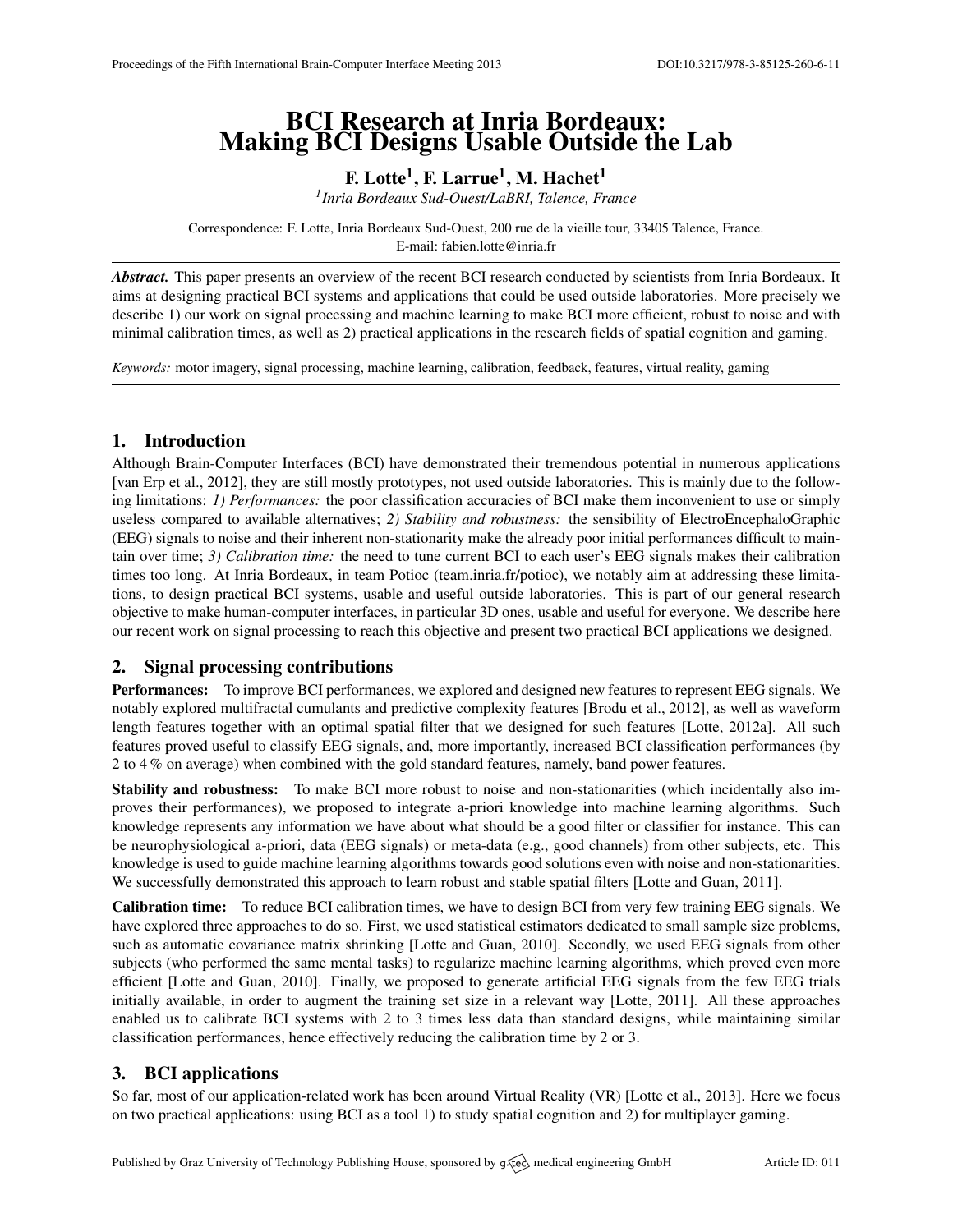# BCI Research at Inria Bordeaux: Making BCI Designs Usable Outside the Lab

F. Lotte $^1$ , F. Larrue $^1$ , M. Hachet $^1$ 

*1 Inria Bordeaux Sud-Ouest/LaBRI, Talence, France*

Correspondence: F. Lotte, Inria Bordeaux Sud-Ouest, 200 rue de la vieille tour, 33405 Talence, France. E-mail: [fabien.lotte@inria.fr](mailto:fabien.lotte@inria.fr)

*Abstract.* This paper presents an overview of the recent BCI research conducted by scientists from Inria Bordeaux. It aims at designing practical BCI systems and applications that could be used outside laboratories. More precisely we describe 1) our work on signal processing and machine learning to make BCI more efficient, robust to noise and with minimal calibration times, as well as 2) practical applications in the research fields of spatial cognition and gaming.

*Keywords:* motor imagery, signal processing, machine learning, calibration, feedback, features, virtual reality, gaming

# 1. Introduction

Although Brain-Computer Interfaces (BCI) have demonstrated their tremendous potential in numerous applications [\[van Erp et al.,](#page-1-0) [2012\]](#page-1-0), they are still mostly prototypes, not used outside laboratories. This is mainly due to the following limitations: *1) Performances:* the poor classification accuracies of BCI make them inconvenient to use or simply useless compared to available alternatives; *2) Stability and robustness:* the sensibility of ElectroEncephaloGraphic (EEG) signals to noise and their inherent non-stationarity make the already poor initial performances difficult to maintain over time; *3) Calibration time:* the need to tune current BCI to each user's EEG signals makes their calibration times too long. At Inria Bordeaux, in team Potioc [\(team.inria.fr/potioc\)](team.inria.fr/potioc), we notably aim at addressing these limitations, to design practical BCI systems, usable and useful outside laboratories. This is part of our general research objective to make human-computer interfaces, in particular 3D ones, usable and useful for everyone. We describe here our recent work on signal processing to reach this objective and present two practical BCI applications we designed.

# 2. Signal processing contributions

Performances: To improve BCI performances, we explored and designed new features to represent EEG signals. We notably explored multifractal cumulants and predictive complexity features [\[Brodu et al.,](#page-1-1) [2012\]](#page-1-1), as well as waveform length features together with an optimal spatial filter that we designed for such features [\[Lotte,](#page-1-2) [2012a\]](#page-1-2). All such features proved useful to classify EEG signals, and, more importantly, increased BCI classification performances (by 2 to 4 % on average) when combined with the gold standard features, namely, band power features.

Stability and robustness: To make BCI more robust to noise and non-stationarities (which incidentally also improves their performances), we proposed to integrate a-priori knowledge into machine learning algorithms. Such knowledge represents any information we have about what should be a good filter or classifier for instance. This can be neurophysiological a-priori, data (EEG signals) or meta-data (e.g., good channels) from other subjects, etc. This knowledge is used to guide machine learning algorithms towards good solutions even with noise and non-stationarities. We successfully demonstrated this approach to learn robust and stable spatial filters [\[Lotte and Guan,](#page-1-3) [2011\]](#page-1-3).

Calibration time: To reduce BCI calibration times, we have to design BCI from very few training EEG signals. We have explored three approaches to do so. First, we used statistical estimators dedicated to small sample size problems, such as automatic covariance matrix shrinking [\[Lotte and Guan,](#page-1-4) [2010\]](#page-1-4). Secondly, we used EEG signals from other subjects (who performed the same mental tasks) to regularize machine learning algorithms, which proved even more efficient [\[Lotte and Guan,](#page-1-4) [2010\]](#page-1-4). Finally, we proposed to generate artificial EEG signals from the few EEG trials initially available, in order to augment the training set size in a relevant way [\[Lotte,](#page-1-5) [2011\]](#page-1-5). All these approaches enabled us to calibrate BCI systems with 2 to 3 times less data than standard designs, while maintaining similar classification performances, hence effectively reducing the calibration time by 2 or 3.

# 3. BCI applications

So far, most of our application-related work has been around Virtual Reality (VR) [\[Lotte et al.,](#page-1-6) [2013\]](#page-1-6). Here we focus on two practical applications: using BCI as a tool 1) to study spatial cognition and 2) for multiplayer gaming.